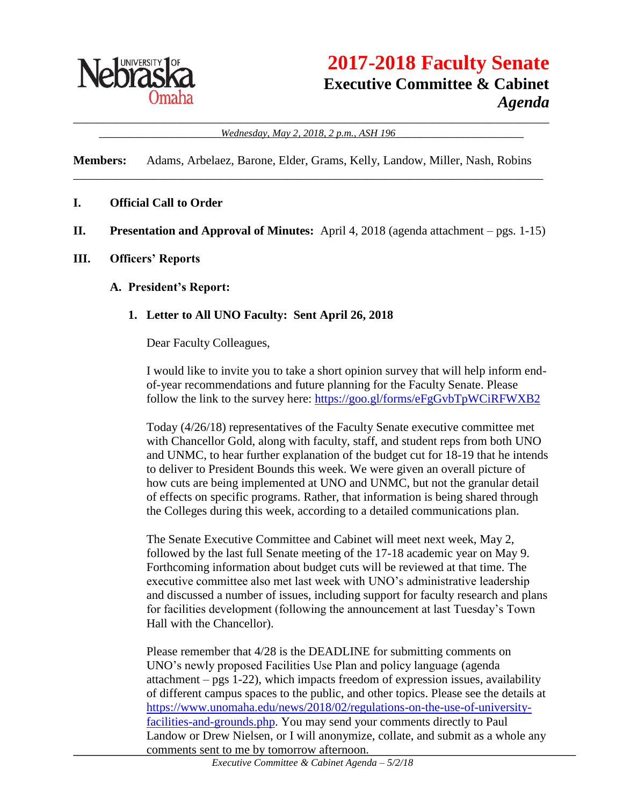

#### \_\_\_\_\_\_\_\_\_\_\_\_\_\_\_\_\_\_\_\_\_\_\_\_\_\_\_\_\_\_\_\_\_\_\_\_\_\_\_\_\_\_\_\_\_\_\_\_\_\_\_\_\_\_\_\_\_\_\_\_\_\_\_\_\_\_\_\_\_\_\_\_\_\_\_\_\_\_ \_\_\_\_\_\_\_\_\_\_\_\_\_\_\_\_\_\_\_\_*Wednesday, May 2, 2018, 2 p.m., ASH 196*\_\_\_\_\_\_\_\_\_\_\_\_\_\_\_\_\_\_\_\_\_

**Members:** Adams, Arbelaez, Barone, Elder, Grams, Kelly, Landow, Miller, Nash, Robins \_\_\_\_\_\_\_\_\_\_\_\_\_\_\_\_\_\_\_\_\_\_\_\_\_\_\_\_\_\_\_\_\_\_\_\_\_\_\_\_\_\_\_\_\_\_\_\_\_\_\_\_\_\_\_\_\_\_\_\_\_\_\_\_\_\_\_\_\_\_\_\_\_\_\_\_\_

### **I. Official Call to Order**

**II. Presentation and Approval of Minutes:** April 4, 2018 (agenda attachment – pgs. 1-15)

#### **III. Officers' Reports**

#### **A. President's Report:**

### **1. Letter to All UNO Faculty: Sent April 26, 2018**

Dear Faculty Colleagues,

I would like to invite you to take a short opinion survey that will help inform endof-year recommendations and future planning for the Faculty Senate. Please follow the link to the survey here:<https://goo.gl/forms/eFgGvbTpWCiRFWXB2>

Today (4/26/18) representatives of the Faculty Senate executive committee met with Chancellor Gold, along with faculty, staff, and student reps from both UNO and UNMC, to hear further explanation of the budget cut for 18-19 that he intends to deliver to President Bounds this week. We were given an overall picture of how cuts are being implemented at UNO and UNMC, but not the granular detail of effects on specific programs. Rather, that information is being shared through the Colleges during this week, according to a detailed communications plan.

The Senate Executive Committee and Cabinet will meet next week, May 2, followed by the last full Senate meeting of the 17-18 academic year on May 9. Forthcoming information about budget cuts will be reviewed at that time. The executive committee also met last week with UNO's administrative leadership and discussed a number of issues, including support for faculty research and plans for facilities development (following the announcement at last Tuesday's Town Hall with the Chancellor).

Please remember that 4/28 is the DEADLINE for submitting comments on UNO's newly proposed Facilities Use Plan and policy language (agenda attachment – pgs 1-22), which impacts freedom of expression issues, availability of different campus spaces to the public, and other topics. Please see the details at [https://www.unomaha.edu/news/2018/02/regulations-on-the-use-of-university](https://www.unomaha.edu/news/2018/02/regulations-on-the-use-of-university-facilities-and-grounds.php)[facilities-and-grounds.php.](https://www.unomaha.edu/news/2018/02/regulations-on-the-use-of-university-facilities-and-grounds.php) You may send your comments directly to Paul Landow or Drew Nielsen, or I will anonymize, collate, and submit as a whole any comments sent to me by tomorrow afternoon.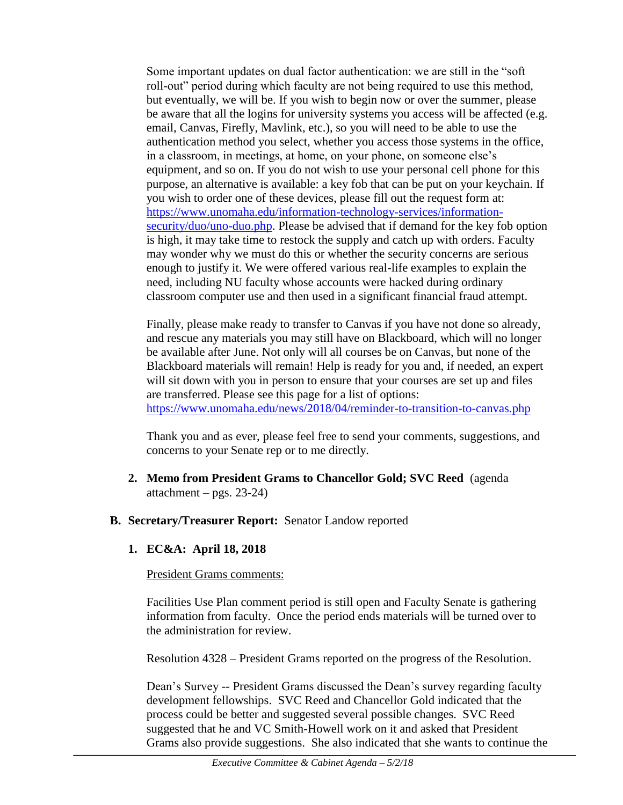Some important updates on dual factor authentication: we are still in the "soft roll-out" period during which faculty are not being required to use this method, but eventually, we will be. If you wish to begin now or over the summer, please be aware that all the logins for university systems you access will be affected (e.g. email, Canvas, Firefly, Mavlink, etc.), so you will need to be able to use the authentication method you select, whether you access those systems in the office, in a classroom, in meetings, at home, on your phone, on someone else's equipment, and so on. If you do not wish to use your personal cell phone for this purpose, an alternative is available: a key fob that can be put on your keychain. If you wish to order one of these devices, please fill out the request form at: [https://www.unomaha.edu/information-technology-services/information](https://www.unomaha.edu/information-technology-services/information-security/duo/uno-duo.php)[security/duo/uno-duo.php.](https://www.unomaha.edu/information-technology-services/information-security/duo/uno-duo.php) Please be advised that if demand for the key fob option is high, it may take time to restock the supply and catch up with orders. Faculty may wonder why we must do this or whether the security concerns are serious enough to justify it. We were offered various real-life examples to explain the need, including NU faculty whose accounts were hacked during ordinary classroom computer use and then used in a significant financial fraud attempt.

Finally, please make ready to transfer to Canvas if you have not done so already, and rescue any materials you may still have on Blackboard, which will no longer be available after June. Not only will all courses be on Canvas, but none of the Blackboard materials will remain! Help is ready for you and, if needed, an expert will sit down with you in person to ensure that your courses are set up and files are transferred. Please see this page for a list of options: <https://www.unomaha.edu/news/2018/04/reminder-to-transition-to-canvas.php>

Thank you and as ever, please feel free to send your comments, suggestions, and concerns to your Senate rep or to me directly.

- **2. Memo from President Grams to Chancellor Gold; SVC Reed** (agenda attachment – pgs.  $23-24$ )
- **B. Secretary/Treasurer Report:** Senator Landow reported
	- **1. EC&A: April 18, 2018**

## President Grams comments:

Facilities Use Plan comment period is still open and Faculty Senate is gathering information from faculty. Once the period ends materials will be turned over to the administration for review.

Resolution 4328 – President Grams reported on the progress of the Resolution.

Dean's Survey -- President Grams discussed the Dean's survey regarding faculty development fellowships. SVC Reed and Chancellor Gold indicated that the process could be better and suggested several possible changes. SVC Reed suggested that he and VC Smith-Howell work on it and asked that President Grams also provide suggestions. She also indicated that she wants to continue the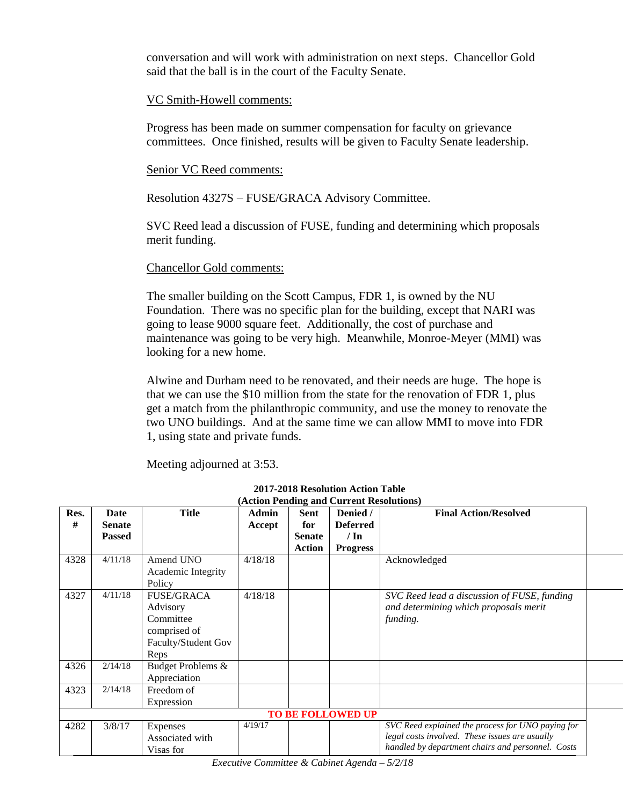conversation and will work with administration on next steps. Chancellor Gold said that the ball is in the court of the Faculty Senate.

### VC Smith-Howell comments:

Progress has been made on summer compensation for faculty on grievance committees. Once finished, results will be given to Faculty Senate leadership.

### Senior VC Reed comments:

Resolution 4327S – FUSE/GRACA Advisory Committee.

SVC Reed lead a discussion of FUSE, funding and determining which proposals merit funding.

## Chancellor Gold comments:

The smaller building on the Scott Campus, FDR 1, is owned by the NU Foundation. There was no specific plan for the building, except that NARI was going to lease 9000 square feet. Additionally, the cost of purchase and maintenance was going to be very high. Meanwhile, Monroe-Meyer (MMI) was looking for a new home.

Alwine and Durham need to be renovated, and their needs are huge. The hope is that we can use the \$10 million from the state for the renovation of FDR 1, plus get a match from the philanthropic community, and use the money to renovate the two UNO buildings. And at the same time we can allow MMI to move into FDR 1, using state and private funds.

Meeting adjourned at 3:53.

| 4/11/18 | Amend UNO                              | 4/18/18                                                                                                    |                 |                                        | Acknowledged                                                                         |                                                                                                                                         |
|---------|----------------------------------------|------------------------------------------------------------------------------------------------------------|-----------------|----------------------------------------|--------------------------------------------------------------------------------------|-----------------------------------------------------------------------------------------------------------------------------------------|
|         |                                        |                                                                                                            |                 |                                        |                                                                                      |                                                                                                                                         |
|         | Policy                                 |                                                                                                            |                 |                                        |                                                                                      |                                                                                                                                         |
| 4/11/18 | <b>FUSE/GRACA</b>                      | 4/18/18                                                                                                    |                 |                                        |                                                                                      |                                                                                                                                         |
|         |                                        |                                                                                                            |                 |                                        |                                                                                      |                                                                                                                                         |
|         |                                        |                                                                                                            |                 |                                        |                                                                                      |                                                                                                                                         |
|         |                                        |                                                                                                            |                 |                                        |                                                                                      |                                                                                                                                         |
|         |                                        |                                                                                                            |                 |                                        |                                                                                      |                                                                                                                                         |
|         |                                        |                                                                                                            |                 |                                        |                                                                                      |                                                                                                                                         |
|         |                                        |                                                                                                            |                 |                                        |                                                                                      |                                                                                                                                         |
| 2/14/18 | Budget Problems &                      |                                                                                                            |                 |                                        |                                                                                      |                                                                                                                                         |
|         | Appreciation                           |                                                                                                            |                 |                                        |                                                                                      |                                                                                                                                         |
| 2/14/18 | Freedom of                             |                                                                                                            |                 |                                        |                                                                                      |                                                                                                                                         |
|         | Expression                             |                                                                                                            |                 |                                        |                                                                                      |                                                                                                                                         |
|         |                                        |                                                                                                            |                 |                                        |                                                                                      |                                                                                                                                         |
| 3/8/17  | Expenses                               | 4/19/17                                                                                                    |                 |                                        | SVC Reed explained the process for UNO paying for                                    |                                                                                                                                         |
|         | Associated with                        |                                                                                                            |                 |                                        | legal costs involved. These issues are usually                                       |                                                                                                                                         |
|         | Visas for                              |                                                                                                            |                 |                                        | handled by department chairs and personnel. Costs                                    |                                                                                                                                         |
|         | Date<br><b>Senate</b><br><b>Passed</b> | <b>Title</b><br>Academic Integrity<br>Advisory<br>Committee<br>comprised of<br>Faculty/Student Gov<br>Reps | Admin<br>Accept | Sent<br>for<br><b>Senate</b><br>Action | Denied /<br><b>Deferred</b><br>$/\ln$<br><b>Progress</b><br><b>TO BE FOLLOWED UP</b> | <b>Final Action/Resolved</b><br>SVC Reed lead a discussion of FUSE, funding<br>and determining which proposals merit<br><i>funding.</i> |

**2017-2018 Resolution Action Table (Action Pending and Current Resolutions)**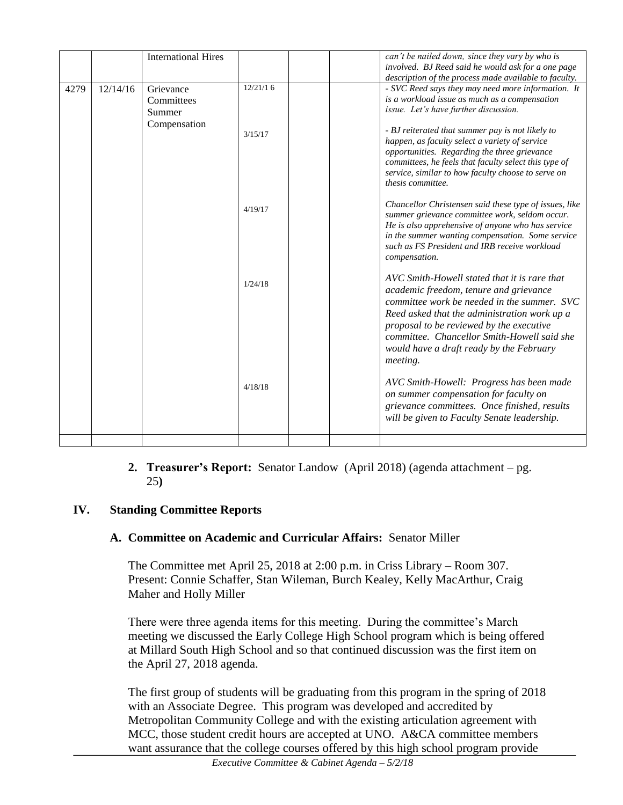|      |          | <b>International Hires</b>                        |          |  | can't be nailed down, since they vary by who is<br>involved. BJ Reed said he would ask for a one page<br>description of the process made available to faculty.                                                                                                                                                                           |
|------|----------|---------------------------------------------------|----------|--|------------------------------------------------------------------------------------------------------------------------------------------------------------------------------------------------------------------------------------------------------------------------------------------------------------------------------------------|
| 4279 | 12/14/16 | Grievance<br>Committees<br>Summer<br>Compensation | 12/21/16 |  | - SVC Reed says they may need more information. It<br>is a workload issue as much as a compensation<br>issue. Let's have further discussion.                                                                                                                                                                                             |
|      |          |                                                   | 3/15/17  |  | - BJ reiterated that summer pay is not likely to<br>happen, as faculty select a variety of service<br>opportunities. Regarding the three grievance<br>committees, he feels that faculty select this type of<br>service, similar to how faculty choose to serve on<br>thesis committee.                                                   |
|      |          |                                                   | 4/19/17  |  | Chancellor Christensen said these type of issues, like<br>summer grievance committee work, seldom occur.<br>He is also apprehensive of anyone who has service<br>in the summer wanting compensation. Some service<br>such as FS President and IRB receive workload<br>compensation.                                                      |
|      |          |                                                   | 1/24/18  |  | AVC Smith-Howell stated that it is rare that<br>academic freedom, tenure and grievance<br>committee work be needed in the summer. SVC<br>Reed asked that the administration work up a<br>proposal to be reviewed by the executive<br>committee. Chancellor Smith-Howell said she<br>would have a draft ready by the February<br>meeting. |
|      |          |                                                   | 4/18/18  |  | AVC Smith-Howell: Progress has been made<br>on summer compensation for faculty on<br>grievance committees. Once finished, results<br>will be given to Faculty Senate leadership.                                                                                                                                                         |
|      |          |                                                   |          |  |                                                                                                                                                                                                                                                                                                                                          |

### **2. Treasurer's Report:** Senator Landow (April 2018) (agenda attachment – pg. 25**)**

## **IV. Standing Committee Reports**

## **A. Committee on Academic and Curricular Affairs:** Senator Miller

The Committee met April 25, 2018 at 2:00 p.m. in Criss Library – Room 307. Present: Connie Schaffer, Stan Wileman, Burch Kealey, Kelly MacArthur, Craig Maher and Holly Miller

There were three agenda items for this meeting. During the committee's March meeting we discussed the Early College High School program which is being offered at Millard South High School and so that continued discussion was the first item on the April 27, 2018 agenda.

The first group of students will be graduating from this program in the spring of 2018 with an Associate Degree. This program was developed and accredited by Metropolitan Community College and with the existing articulation agreement with MCC, those student credit hours are accepted at UNO. A&CA committee members want assurance that the college courses offered by this high school program provide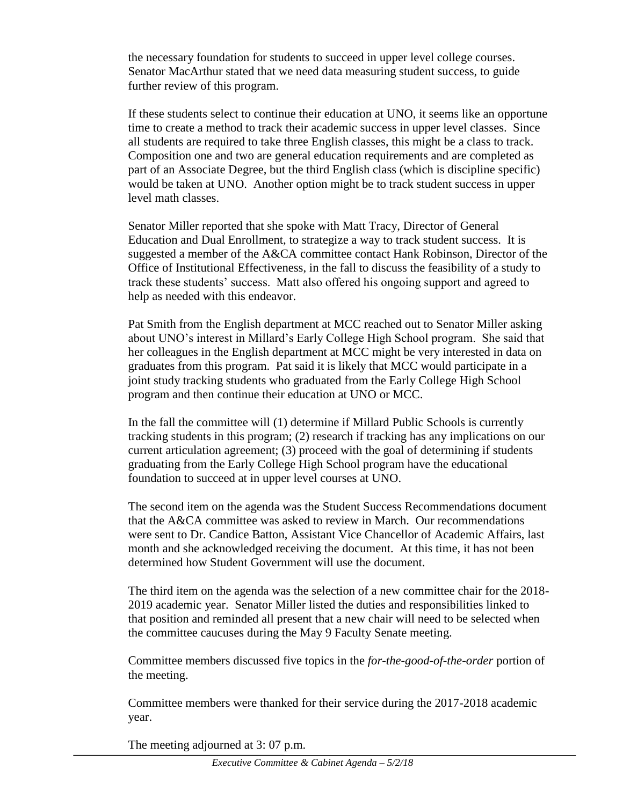the necessary foundation for students to succeed in upper level college courses. Senator MacArthur stated that we need data measuring student success, to guide further review of this program.

If these students select to continue their education at UNO, it seems like an opportune time to create a method to track their academic success in upper level classes. Since all students are required to take three English classes, this might be a class to track. Composition one and two are general education requirements and are completed as part of an Associate Degree, but the third English class (which is discipline specific) would be taken at UNO. Another option might be to track student success in upper level math classes.

Senator Miller reported that she spoke with Matt Tracy, Director of General Education and Dual Enrollment, to strategize a way to track student success. It is suggested a member of the A&CA committee contact Hank Robinson, Director of the Office of Institutional Effectiveness, in the fall to discuss the feasibility of a study to track these students' success. Matt also offered his ongoing support and agreed to help as needed with this endeavor.

Pat Smith from the English department at MCC reached out to Senator Miller asking about UNO's interest in Millard's Early College High School program. She said that her colleagues in the English department at MCC might be very interested in data on graduates from this program. Pat said it is likely that MCC would participate in a joint study tracking students who graduated from the Early College High School program and then continue their education at UNO or MCC.

In the fall the committee will (1) determine if Millard Public Schools is currently tracking students in this program; (2) research if tracking has any implications on our current articulation agreement; (3) proceed with the goal of determining if students graduating from the Early College High School program have the educational foundation to succeed at in upper level courses at UNO.

The second item on the agenda was the Student Success Recommendations document that the A&CA committee was asked to review in March. Our recommendations were sent to Dr. Candice Batton, Assistant Vice Chancellor of Academic Affairs, last month and she acknowledged receiving the document. At this time, it has not been determined how Student Government will use the document.

The third item on the agenda was the selection of a new committee chair for the 2018- 2019 academic year. Senator Miller listed the duties and responsibilities linked to that position and reminded all present that a new chair will need to be selected when the committee caucuses during the May 9 Faculty Senate meeting.

Committee members discussed five topics in the *for-the-good-of-the-order* portion of the meeting.

Committee members were thanked for their service during the 2017-2018 academic year.

The meeting adjourned at 3: 07 p.m.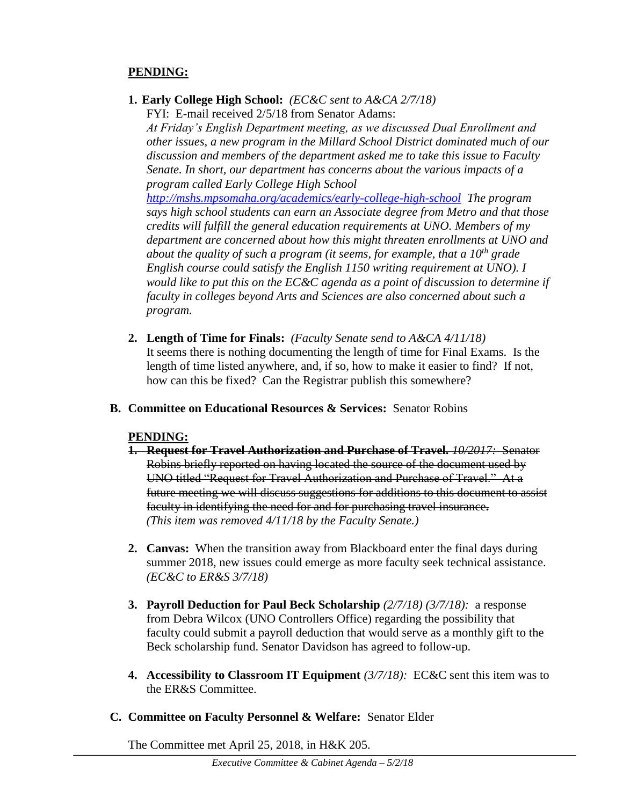## **PENDING:**

**1. Early College High School:** *(EC&C sent to A&CA 2/7/18)*

FYI: E-mail received 2/5/18 from Senator Adams: *At Friday's English Department meeting, as we discussed Dual Enrollment and other issues, a new program in the Millard School District dominated much of our discussion and members of the department asked me to take this issue to Faculty Senate. In short, our department has concerns about the various impacts of a program called Early College High School* 

*<http://mshs.mpsomaha.org/academics/early-college-high-school> The program says high school students can earn an Associate degree from Metro and that those credits will fulfill the general education requirements at UNO. Members of my department are concerned about how this might threaten enrollments at UNO and about the quality of such a program (it seems, for example, that a 10th grade English course could satisfy the English 1150 writing requirement at UNO). I would like to put this on the EC&C agenda as a point of discussion to determine if faculty in colleges beyond Arts and Sciences are also concerned about such a program.*

- **2. Length of Time for Finals:** *(Faculty Senate send to A&CA 4/11/18)* It seems there is nothing documenting the length of time for Final Exams. Is the length of time listed anywhere, and, if so, how to make it easier to find? If not, how can this be fixed? Can the Registrar publish this somewhere?
- **B. Committee on Educational Resources & Services:** Senator Robins

## **PENDING:**

- **1. Request for Travel Authorization and Purchase of Travel.** *10/2017:* Senator Robins briefly reported on having located the source of the document used by UNO titled "Request for Travel Authorization and Purchase of Travel." At a future meeting we will discuss suggestions for additions to this document to assist faculty in identifying the need for and for purchasing travel insurance**.** *(This item was removed 4/11/18 by the Faculty Senate.)*
- **2. Canvas:** When the transition away from Blackboard enter the final days during summer 2018, new issues could emerge as more faculty seek technical assistance. *(EC&C to ER&S 3/7/18)*
- **3. Payroll Deduction for Paul Beck Scholarship** *(2/7/18) (3/7/18):* a response from Debra Wilcox (UNO Controllers Office) regarding the possibility that faculty could submit a payroll deduction that would serve as a monthly gift to the Beck scholarship fund. Senator Davidson has agreed to follow-up.
- **4. Accessibility to Classroom IT Equipment** *(3/7/18):* EC&C sent this item was to the ER&S Committee.
- **C. Committee on Faculty Personnel & Welfare:** Senator Elder

The Committee met April 25, 2018, in H&K 205.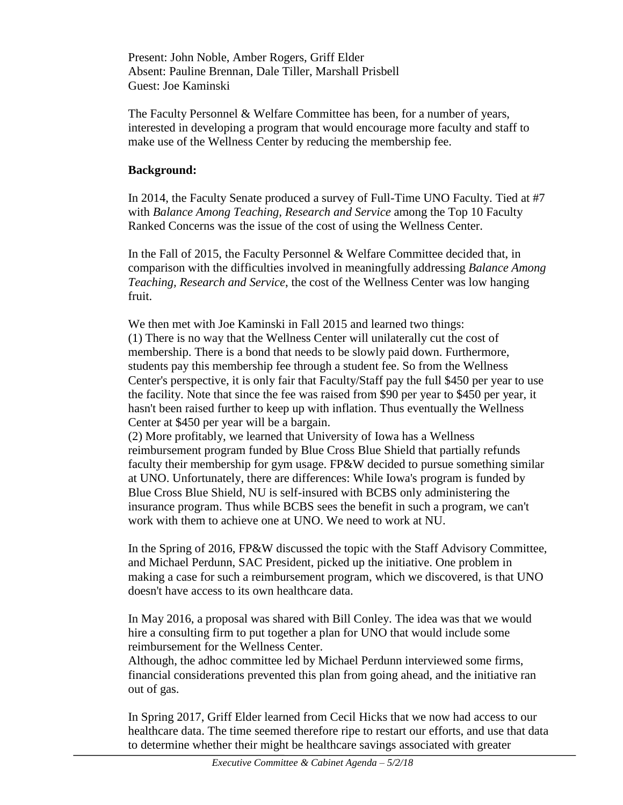Present: John Noble, Amber Rogers, Griff Elder Absent: Pauline Brennan, Dale Tiller, Marshall Prisbell Guest: Joe Kaminski

The Faculty Personnel & Welfare Committee has been, for a number of years, interested in developing a program that would encourage more faculty and staff to make use of the Wellness Center by reducing the membership fee.

## **Background:**

In 2014, the Faculty Senate produced a survey of Full-Time UNO Faculty. Tied at #7 with *Balance Among Teaching, Research and Service* among the Top 10 Faculty Ranked Concerns was the issue of the cost of using the Wellness Center.

In the Fall of 2015, the Faculty Personnel & Welfare Committee decided that, in comparison with the difficulties involved in meaningfully addressing *Balance Among Teaching, Research and Service*, the cost of the Wellness Center was low hanging fruit.

We then met with Joe Kaminski in Fall 2015 and learned two things: (1) There is no way that the Wellness Center will unilaterally cut the cost of membership. There is a bond that needs to be slowly paid down. Furthermore, students pay this membership fee through a student fee. So from the Wellness Center's perspective, it is only fair that Faculty/Staff pay the full \$450 per year to use the facility. Note that since the fee was raised from \$90 per year to \$450 per year, it hasn't been raised further to keep up with inflation. Thus eventually the Wellness Center at \$450 per year will be a bargain.

(2) More profitably, we learned that University of Iowa has a Wellness reimbursement program funded by Blue Cross Blue Shield that partially refunds faculty their membership for gym usage. FP&W decided to pursue something similar at UNO. Unfortunately, there are differences: While Iowa's program is funded by Blue Cross Blue Shield, NU is self-insured with BCBS only administering the insurance program. Thus while BCBS sees the benefit in such a program, we can't work with them to achieve one at UNO. We need to work at NU.

In the Spring of 2016, FP&W discussed the topic with the Staff Advisory Committee, and Michael Perdunn, SAC President, picked up the initiative. One problem in making a case for such a reimbursement program, which we discovered, is that UNO doesn't have access to its own healthcare data.

In May 2016, a proposal was shared with Bill Conley. The idea was that we would hire a consulting firm to put together a plan for UNO that would include some reimbursement for the Wellness Center.

Although, the adhoc committee led by Michael Perdunn interviewed some firms, financial considerations prevented this plan from going ahead, and the initiative ran out of gas.

In Spring 2017, Griff Elder learned from Cecil Hicks that we now had access to our healthcare data. The time seemed therefore ripe to restart our efforts, and use that data to determine whether their might be healthcare savings associated with greater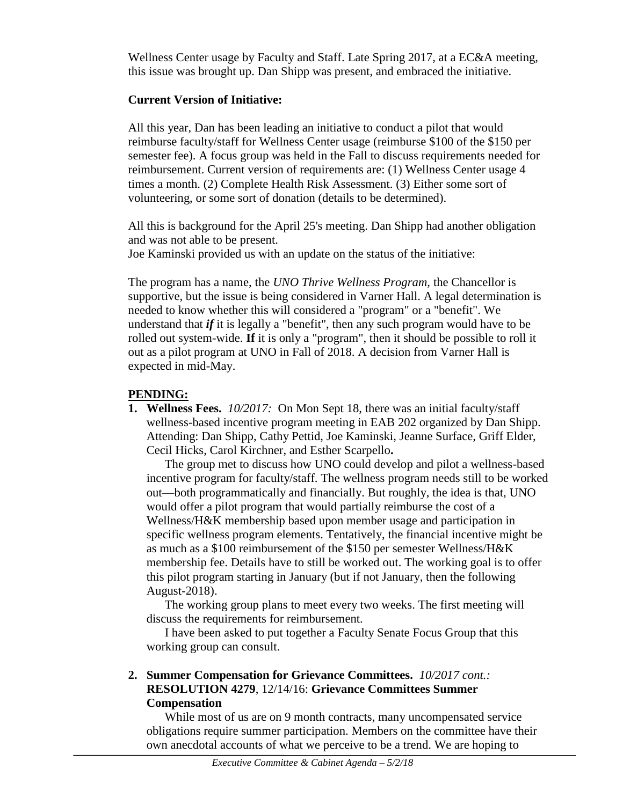Wellness Center usage by Faculty and Staff. Late Spring 2017, at a EC&A meeting, this issue was brought up. Dan Shipp was present, and embraced the initiative.

## **Current Version of Initiative:**

All this year, Dan has been leading an initiative to conduct a pilot that would reimburse faculty/staff for Wellness Center usage (reimburse \$100 of the \$150 per semester fee). A focus group was held in the Fall to discuss requirements needed for reimbursement. Current version of requirements are: (1) Wellness Center usage 4 times a month. (2) Complete Health Risk Assessment. (3) Either some sort of volunteering, or some sort of donation (details to be determined).

All this is background for the April 25's meeting. Dan Shipp had another obligation and was not able to be present.

Joe Kaminski provided us with an update on the status of the initiative:

The program has a name, the *UNO Thrive Wellness Program,* the Chancellor is supportive, but the issue is being considered in Varner Hall. A legal determination is needed to know whether this will considered a "program" or a "benefit". We understand that *if* it is legally a "benefit", then any such program would have to be rolled out system-wide. **If** it is only a "program", then it should be possible to roll it out as a pilot program at UNO in Fall of 2018. A decision from Varner Hall is expected in mid-May.

## **PENDING:**

**1. Wellness Fees.** *10/2017:*On Mon Sept 18, there was an initial faculty/staff wellness-based incentive program meeting in EAB 202 organized by Dan Shipp. Attending: Dan Shipp, Cathy Pettid, Joe Kaminski, Jeanne Surface, Griff Elder, Cecil Hicks, Carol Kirchner, and Esther Scarpello**.**

The group met to discuss how UNO could develop and pilot a wellness-based incentive program for faculty/staff. The wellness program needs still to be worked out—both programmatically and financially. But roughly, the idea is that, UNO would offer a pilot program that would partially reimburse the cost of a Wellness/H&K membership based upon member usage and participation in specific wellness program elements. Tentatively, the financial incentive might be as much as a \$100 reimbursement of the \$150 per semester Wellness/H&K membership fee. Details have to still be worked out. The working goal is to offer this pilot program starting in January (but if not January, then the following August-2018).

The working group plans to meet every two weeks. The first meeting will discuss the requirements for reimbursement.

I have been asked to put together a Faculty Senate Focus Group that this working group can consult.

## **2. Summer Compensation for Grievance Committees.** *10/2017 cont.:* **RESOLUTION 4279**, 12/14/16: **Grievance Committees Summer Compensation**

While most of us are on 9 month contracts, many uncompensated service obligations require summer participation. Members on the committee have their own anecdotal accounts of what we perceive to be a trend. We are hoping to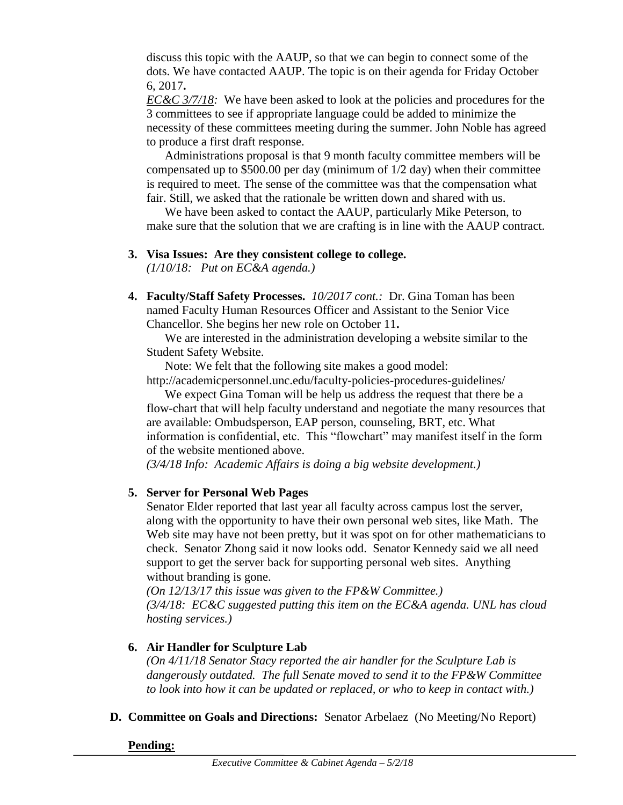discuss this topic with the AAUP, so that we can begin to connect some of the dots. We have contacted AAUP. The topic is on their agenda for Friday October 6, 2017**.**

*EC&C 3/7/18:* We have been asked to look at the policies and procedures for the 3 committees to see if appropriate language could be added to minimize the necessity of these committees meeting during the summer. John Noble has agreed to produce a first draft response.

Administrations proposal is that 9 month faculty committee members will be compensated up to  $$500.00$  per day (minimum of  $1/2$  day) when their committee is required to meet. The sense of the committee was that the compensation what fair. Still, we asked that the rationale be written down and shared with us.

We have been asked to contact the AAUP, particularly Mike Peterson, to make sure that the solution that we are crafting is in line with the AAUP contract.

**3. Visa Issues: Are they consistent college to college.**

*(1/10/18: Put on EC&A agenda.)*

**4. Faculty/Staff Safety Processes.** *10/2017 cont.:* Dr. Gina Toman has been named Faculty Human Resources Officer and Assistant to the Senior Vice Chancellor. She begins her new role on October 11**.**

We are interested in the administration developing a website similar to the Student Safety Website.

Note: We felt that the following site makes a good model:

http://academicpersonnel.unc.edu/faculty-policies-procedures-guidelines/

We expect Gina Toman will be help us address the request that there be a flow-chart that will help faculty understand and negotiate the many resources that are available: Ombudsperson, EAP person, counseling, BRT, etc. What information is confidential, etc. This "flowchart" may manifest itself in the form of the website mentioned above.

*(3/4/18 Info: Academic Affairs is doing a big website development.)*

## **5. Server for Personal Web Pages**

Senator Elder reported that last year all faculty across campus lost the server, along with the opportunity to have their own personal web sites, like Math. The Web site may have not been pretty, but it was spot on for other mathematicians to check. Senator Zhong said it now looks odd. Senator Kennedy said we all need support to get the server back for supporting personal web sites. Anything without branding is gone.

*(On 12/13/17 this issue was given to the FP&W Committee.) (3/4/18: EC&C suggested putting this item on the EC&A agenda. UNL has cloud hosting services.)*

## **6. Air Handler for Sculpture Lab**

*(On 4/11/18 Senator Stacy reported the air handler for the Sculpture Lab is dangerously outdated. The full Senate moved to send it to the FP&W Committee to look into how it can be updated or replaced, or who to keep in contact with.)*

**D. Committee on Goals and Directions:** Senator Arbelaez (No Meeting/No Report)

**Pending:**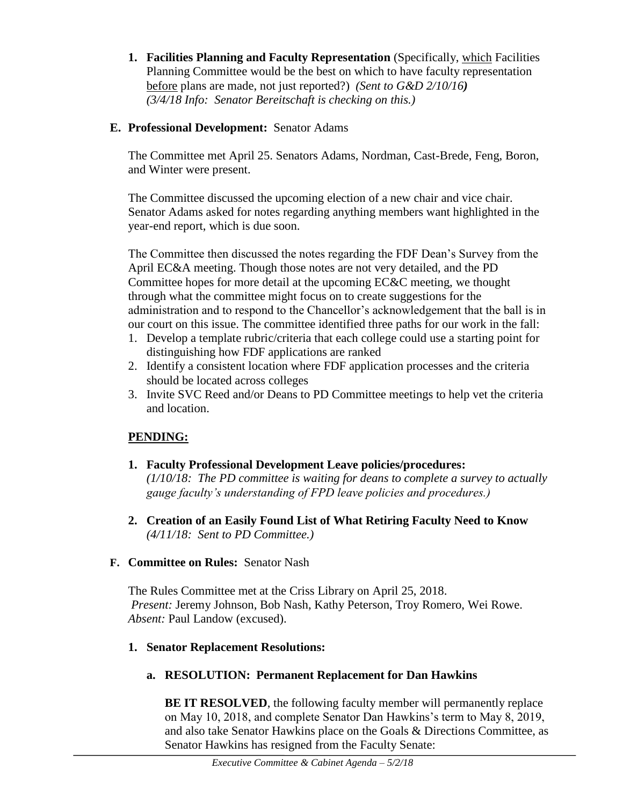**1. Facilities Planning and Faculty Representation** (Specifically, which Facilities Planning Committee would be the best on which to have faculty representation before plans are made, not just reported?) *(Sent to G&D 2/10/16) (3/4/18 Info: Senator Bereitschaft is checking on this.)* 

## **E. Professional Development:** Senator Adams

The Committee met April 25. Senators Adams, Nordman, Cast-Brede, Feng, Boron, and Winter were present.

The Committee discussed the upcoming election of a new chair and vice chair. Senator Adams asked for notes regarding anything members want highlighted in the year-end report, which is due soon.

The Committee then discussed the notes regarding the FDF Dean's Survey from the April EC&A meeting. Though those notes are not very detailed, and the PD Committee hopes for more detail at the upcoming EC&C meeting, we thought through what the committee might focus on to create suggestions for the administration and to respond to the Chancellor's acknowledgement that the ball is in our court on this issue. The committee identified three paths for our work in the fall:

- 1. Develop a template rubric/criteria that each college could use a starting point for distinguishing how FDF applications are ranked
- 2. Identify a consistent location where FDF application processes and the criteria should be located across colleges
- 3. Invite SVC Reed and/or Deans to PD Committee meetings to help vet the criteria and location.

# **PENDING:**

- **1. Faculty Professional Development Leave policies/procedures:**  *(1/10/18: The PD committee is waiting for deans to complete a survey to actually gauge faculty's understanding of FPD leave policies and procedures.)*
- **2. Creation of an Easily Found List of What Retiring Faculty Need to Know** *(4/11/18: Sent to PD Committee.)*

## **F. Committee on Rules:** Senator Nash

The Rules Committee met at the Criss Library on April 25, 2018. *Present:* Jeremy Johnson, Bob Nash, Kathy Peterson, Troy Romero, Wei Rowe. *Absent:* Paul Landow (excused).

## **1. Senator Replacement Resolutions:**

# **a. RESOLUTION: Permanent Replacement for Dan Hawkins**

**BE IT RESOLVED**, the following faculty member will permanently replace on May 10, 2018, and complete Senator Dan Hawkins's term to May 8, 2019, and also take Senator Hawkins place on the Goals & Directions Committee, as Senator Hawkins has resigned from the Faculty Senate: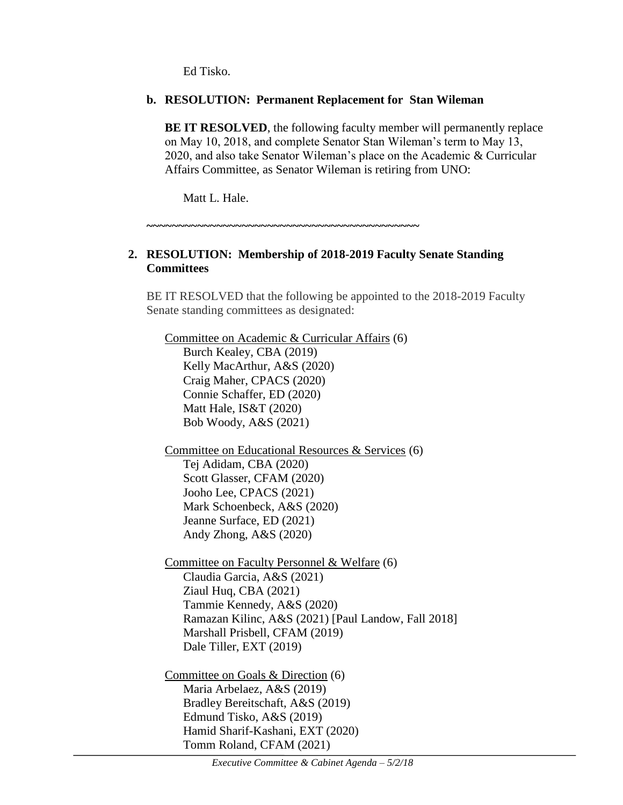Ed Tisko.

### **b. RESOLUTION: Permanent Replacement for Stan Wileman**

**BE IT RESOLVED**, the following faculty member will permanently replace on May 10, 2018, and complete Senator Stan Wileman's term to May 13, 2020, and also take Senator Wileman's place on the Academic & Curricular Affairs Committee, as Senator Wileman is retiring from UNO:

Matt L. Hale.

**~~~~~~~~~~~~~~~~~~~~~~~~~~~~~~~~~~~~~~~~~~~**

## **2. RESOLUTION: Membership of 2018-2019 Faculty Senate Standing Committees**

BE IT RESOLVED that the following be appointed to the 2018-2019 Faculty Senate standing committees as designated:

Committee on Academic & Curricular Affairs (6) Burch Kealey, CBA (2019) Kelly MacArthur, A&S (2020) Craig Maher, CPACS (2020) Connie Schaffer, ED (2020) Matt Hale, IS&T (2020) Bob Woody, A&S (2021) Committee on Educational Resources & Services (6) Tej Adidam, CBA (2020) Scott Glasser, CFAM (2020) Jooho Lee, CPACS (2021) Mark Schoenbeck, A&S (2020) Jeanne Surface, ED (2021) Andy Zhong, A&S (2020) Committee on Faculty Personnel & Welfare (6) Claudia Garcia, A&S (2021) Ziaul Huq, CBA (2021) Tammie Kennedy, A&S (2020) Ramazan Kilinc, A&S (2021) [Paul Landow, Fall 2018] Marshall Prisbell, CFAM (2019) Dale Tiller, EXT (2019) Committee on Goals & Direction (6) Maria Arbelaez, A&S (2019) Bradley Bereitschaft, A&S (2019) Edmund Tisko, A&S (2019) Hamid Sharif-Kashani, EXT (2020)

Tomm Roland, CFAM (2021)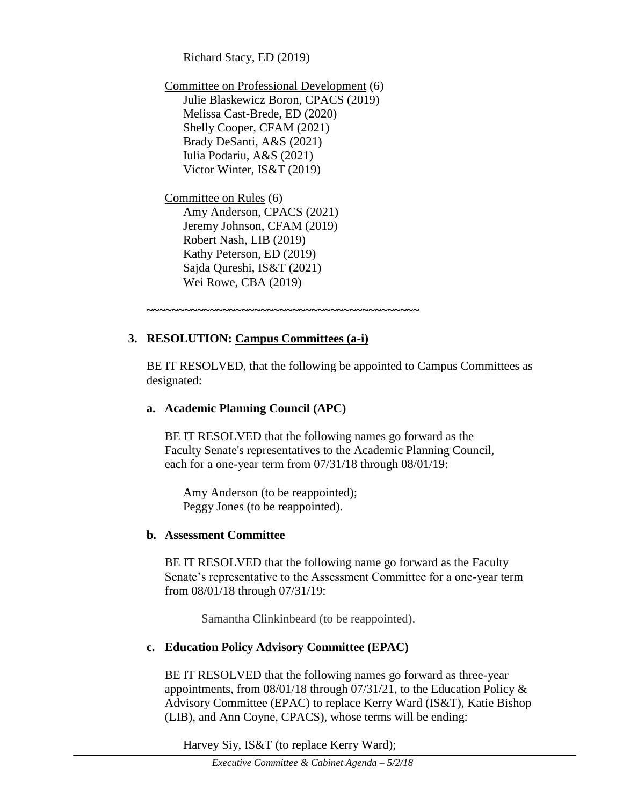Richard Stacy, ED (2019)

Committee on Professional Development (6) Julie Blaskewicz Boron, CPACS (2019) Melissa Cast-Brede, ED (2020) Shelly Cooper, CFAM (2021) Brady DeSanti, A&S (2021) Iulia Podariu, A&S (2021) Victor Winter, IS&T (2019)

Committee on Rules (6) Amy Anderson, CPACS (2021) Jeremy Johnson, CFAM (2019) Robert Nash, LIB (2019) Kathy Peterson, ED (2019) Sajda Qureshi, IS&T (2021) Wei Rowe, CBA (2019)

## **3. RESOLUTION: Campus Committees (a-i)**

**~~~~~~~~~~~~~~~~~~~~~~~~~~~~~~~~~~~~~~~~~~~**

BE IT RESOLVED, that the following be appointed to Campus Committees as designated:

### **a. Academic Planning Council (APC)**

BE IT RESOLVED that the following names go forward as the Faculty Senate's representatives to the Academic Planning Council, each for a one-year term from 07/31/18 through 08/01/19:

Amy Anderson (to be reappointed); Peggy Jones (to be reappointed).

## **b. Assessment Committee**

BE IT RESOLVED that the following name go forward as the Faculty Senate's representative to the Assessment Committee for a one-year term from 08/01/18 through 07/31/19:

Samantha Clinkinbeard (to be reappointed).

## **c. Education Policy Advisory Committee (EPAC)**

BE IT RESOLVED that the following names go forward as three-year appointments, from 08/01/18 through 07/31/21, to the Education Policy & Advisory Committee (EPAC) to replace Kerry Ward (IS&T), Katie Bishop (LIB), and Ann Coyne, CPACS), whose terms will be ending:

Harvey Siy, IS&T (to replace Kerry Ward);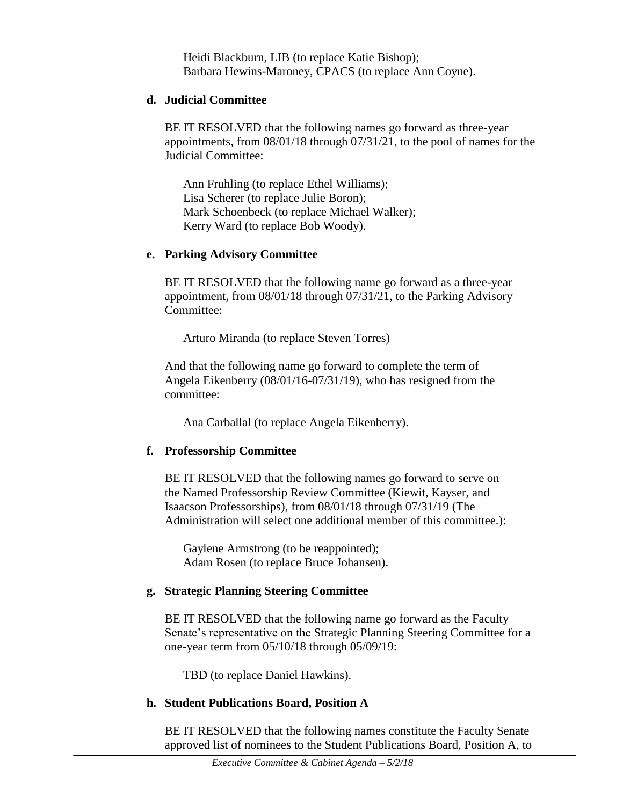Heidi Blackburn, LIB (to replace Katie Bishop); Barbara Hewins-Maroney, CPACS (to replace Ann Coyne).

### **d. Judicial Committee**

BE IT RESOLVED that the following names go forward as three-year appointments, from 08/01/18 through 07/31/21, to the pool of names for the Judicial Committee:

Ann Fruhling (to replace Ethel Williams); Lisa Scherer (to replace Julie Boron); Mark Schoenbeck (to replace Michael Walker); Kerry Ward (to replace Bob Woody).

## **e. Parking Advisory Committee**

BE IT RESOLVED that the following name go forward as a three-year appointment, from 08/01/18 through 07/31/21, to the Parking Advisory Committee:

Arturo Miranda (to replace Steven Torres)

And that the following name go forward to complete the term of Angela Eikenberry (08/01/16-07/31/19), who has resigned from the committee:

Ana Carballal (to replace Angela Eikenberry).

## **f. Professorship Committee**

BE IT RESOLVED that the following names go forward to serve on the Named Professorship Review Committee (Kiewit, Kayser, and Isaacson Professorships), from 08/01/18 through 07/31/19 (The Administration will select one additional member of this committee.):

Gaylene Armstrong (to be reappointed); Adam Rosen (to replace Bruce Johansen).

## **g. Strategic Planning Steering Committee**

BE IT RESOLVED that the following name go forward as the Faculty Senate's representative on the Strategic Planning Steering Committee for a one-year term from 05/10/18 through 05/09/19:

TBD (to replace Daniel Hawkins).

## **h. Student Publications Board, Position A**

BE IT RESOLVED that the following names constitute the Faculty Senate approved list of nominees to the Student Publications Board, Position A, to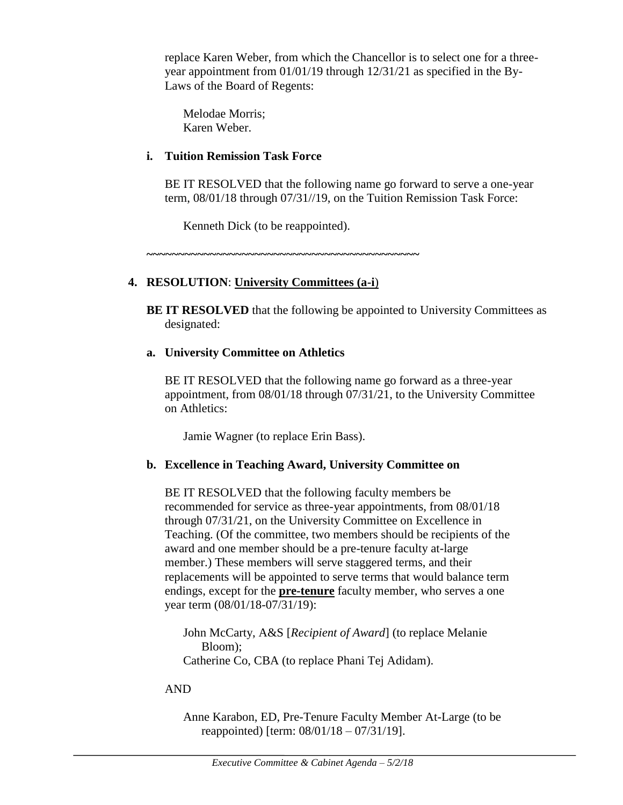replace Karen Weber, from which the Chancellor is to select one for a threeyear appointment from 01/01/19 through 12/31/21 as specified in the By-Laws of the Board of Regents:

Melodae Morris; Karen Weber.

### **i. Tuition Remission Task Force**

BE IT RESOLVED that the following name go forward to serve a one-year term, 08/01/18 through 07/31//19, on the Tuition Remission Task Force:

Kenneth Dick (to be reappointed).

**~~~~~~~~~~~~~~~~~~~~~~~~~~~~~~~~~~~~~~~~~~~**

## **4. RESOLUTION**: **University Committees (a-i**)

**BE IT RESOLVED** that the following be appointed to University Committees as designated:

## **a. University Committee on Athletics**

BE IT RESOLVED that the following name go forward as a three-year appointment, from 08/01/18 through 07/31/21, to the University Committee on Athletics:

Jamie Wagner (to replace Erin Bass).

## **b. Excellence in Teaching Award, University Committee on**

BE IT RESOLVED that the following faculty members be recommended for service as three-year appointments, from 08/01/18 through 07/31/21, on the University Committee on Excellence in Teaching. (Of the committee, two members should be recipients of the award and one member should be a pre-tenure faculty at-large member.) These members will serve staggered terms, and their replacements will be appointed to serve terms that would balance term endings, except for the **pre-tenure** faculty member, who serves a one year term (08/01/18-07/31/19):

John McCarty, A&S [*Recipient of Award*] (to replace Melanie Bloom); Catherine Co, CBA (to replace Phani Tej Adidam).

## AND

Anne Karabon, ED, Pre-Tenure Faculty Member At-Large (to be reappointed) [term: 08/01/18 – 07/31/19].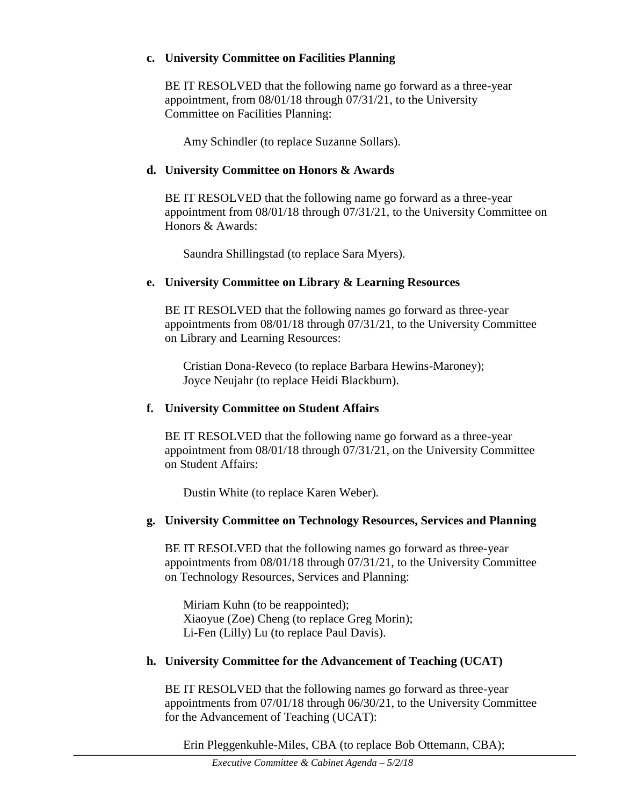### **c. University Committee on Facilities Planning**

BE IT RESOLVED that the following name go forward as a three-year appointment, from 08/01/18 through 07/31/21, to the University Committee on Facilities Planning:

Amy Schindler (to replace Suzanne Sollars).

### **d. University Committee on Honors & Awards**

BE IT RESOLVED that the following name go forward as a three-year appointment from 08/01/18 through 07/31/21, to the University Committee on Honors & Awards:

Saundra Shillingstad (to replace Sara Myers).

### **e. University Committee on Library & Learning Resources**

BE IT RESOLVED that the following names go forward as three-year appointments from 08/01/18 through 07/31/21, to the University Committee on Library and Learning Resources:

Cristian Dona-Reveco (to replace Barbara Hewins-Maroney); Joyce Neujahr (to replace Heidi Blackburn).

### **f. University Committee on Student Affairs**

BE IT RESOLVED that the following name go forward as a three-year appointment from 08/01/18 through 07/31/21, on the University Committee on Student Affairs:

Dustin White (to replace Karen Weber).

## **g. University Committee on Technology Resources, Services and Planning**

BE IT RESOLVED that the following names go forward as three-year appointments from 08/01/18 through 07/31/21, to the University Committee on Technology Resources, Services and Planning:

Miriam Kuhn (to be reappointed); Xiaoyue (Zoe) Cheng (to replace Greg Morin); Li-Fen (Lilly) Lu (to replace Paul Davis).

## **h. University Committee for the Advancement of Teaching (UCAT)**

BE IT RESOLVED that the following names go forward as three-year appointments from 07/01/18 through 06/30/21, to the University Committee for the Advancement of Teaching (UCAT):

Erin Pleggenkuhle-Miles, CBA (to replace Bob Ottemann, CBA);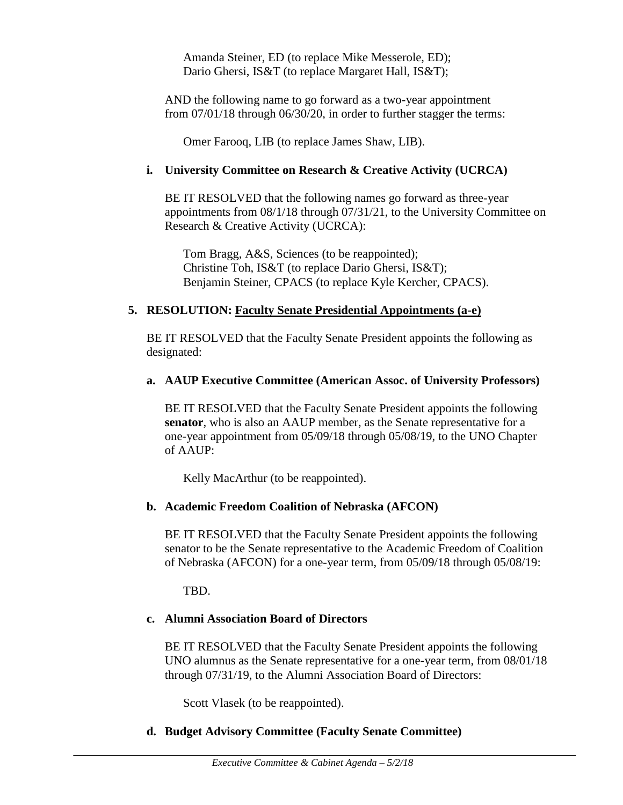Amanda Steiner, ED (to replace Mike Messerole, ED); Dario Ghersi, IS&T (to replace Margaret Hall, IS&T);

AND the following name to go forward as a two-year appointment from 07/01/18 through 06/30/20, in order to further stagger the terms:

Omer Farooq, LIB (to replace James Shaw, LIB).

### **i. University Committee on Research & Creative Activity (UCRCA)**

BE IT RESOLVED that the following names go forward as three-year appointments from 08/1/18 through 07/31/21, to the University Committee on Research & Creative Activity (UCRCA):

Tom Bragg, A&S, Sciences (to be reappointed); Christine Toh, IS&T (to replace Dario Ghersi, IS&T); Benjamin Steiner, CPACS (to replace Kyle Kercher, CPACS).

### **5. RESOLUTION: Faculty Senate Presidential Appointments (a-e)**

BE IT RESOLVED that the Faculty Senate President appoints the following as designated:

### **a. AAUP Executive Committee (American Assoc. of University Professors)**

BE IT RESOLVED that the Faculty Senate President appoints the following **senator**, who is also an AAUP member, as the Senate representative for a one-year appointment from 05/09/18 through 05/08/19, to the UNO Chapter of AAUP:

Kelly MacArthur (to be reappointed).

### **b. Academic Freedom Coalition of Nebraska (AFCON)**

BE IT RESOLVED that the Faculty Senate President appoints the following senator to be the Senate representative to the Academic Freedom of Coalition of Nebraska (AFCON) for a one-year term, from 05/09/18 through 05/08/19:

TBD.

## **c. Alumni Association Board of Directors**

BE IT RESOLVED that the Faculty Senate President appoints the following UNO alumnus as the Senate representative for a one-year term, from 08/01/18 through 07/31/19, to the Alumni Association Board of Directors:

Scott Vlasek (to be reappointed).

## **d. Budget Advisory Committee (Faculty Senate Committee)**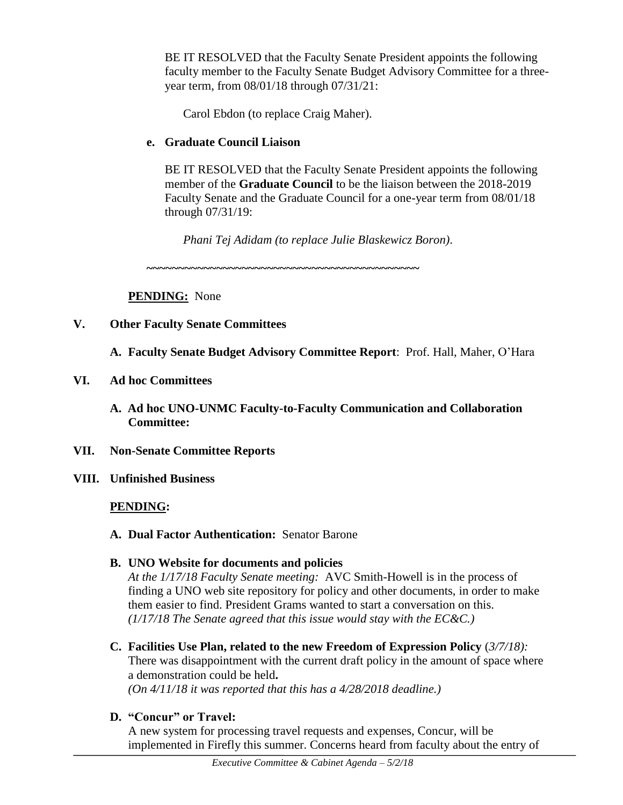BE IT RESOLVED that the Faculty Senate President appoints the following faculty member to the Faculty Senate Budget Advisory Committee for a threeyear term, from 08/01/18 through 07/31/21:

Carol Ebdon (to replace Craig Maher).

## **e. Graduate Council Liaison**

BE IT RESOLVED that the Faculty Senate President appoints the following member of the **Graduate Council** to be the liaison between the 2018-2019 Faculty Senate and the Graduate Council for a one-year term from 08/01/18 through 07/31/19:

*Phani Tej Adidam (to replace Julie Blaskewicz Boron)*.

**~~~~~~~~~~~~~~~~~~~~~~~~~~~~~~~~~~~~~~~~~~~**

**PENDING:** None

## **V. Other Faculty Senate Committees**

- **A. Faculty Senate Budget Advisory Committee Report**: Prof. Hall, Maher, O'Hara
- **VI. Ad hoc Committees**
	- **A. Ad hoc UNO-UNMC Faculty-to-Faculty Communication and Collaboration Committee:**
- **VII. Non-Senate Committee Reports**
- **VIII. Unfinished Business**

## **PENDING:**

**A. Dual Factor Authentication:** Senator Barone

### **B. UNO Website for documents and policies** *At the 1/17/18 Faculty Senate meeting:* AVC Smith-Howell is in the process of finding a UNO web site repository for policy and other documents, in order to make them easier to find. President Grams wanted to start a conversation on this. *(1/17/18 The Senate agreed that this issue would stay with the EC&C.)*

- **C. Facilities Use Plan, related to the new Freedom of Expression Policy** (*3/7/18):* There was disappointment with the current draft policy in the amount of space where a demonstration could be held**.**  *(On 4/11/18 it was reported that this has a 4/28/2018 deadline.)*
- **D. "Concur" or Travel:**

A new system for processing travel requests and expenses, Concur, will be implemented in Firefly this summer. Concerns heard from faculty about the entry of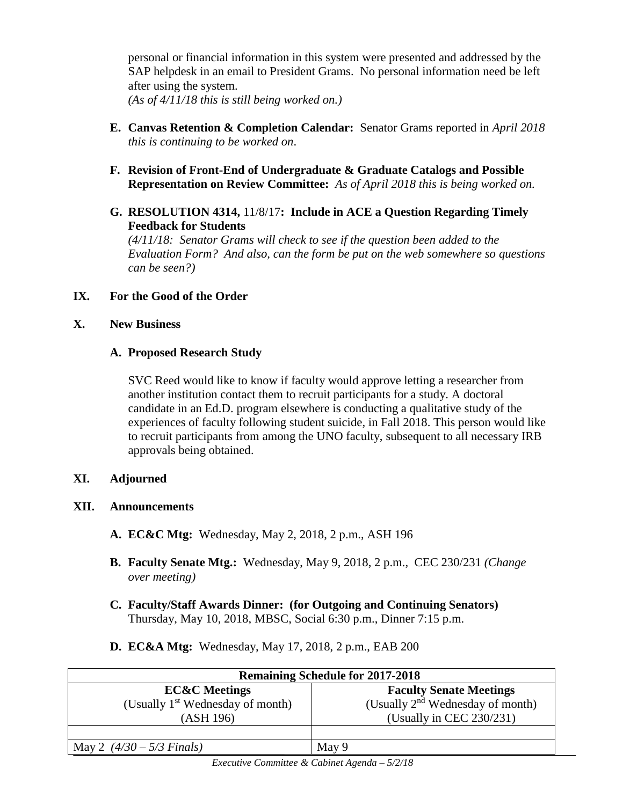personal or financial information in this system were presented and addressed by the SAP helpdesk in an email to President Grams. No personal information need be left after using the system. *(As of 4/11/18 this is still being worked on.)*

- **E. Canvas Retention & Completion Calendar:** Senator Grams reported in *April 2018 this is continuing to be worked on*.
- **F. Revision of Front-End of Undergraduate & Graduate Catalogs and Possible Representation on Review Committee:** *As of April 2018 this is being worked on.*
- **G. RESOLUTION 4314,** 11/8/17**: Include in ACE a Question Regarding Timely Feedback for Students**

*(4/11/18: Senator Grams will check to see if the question been added to the Evaluation Form? And also, can the form be put on the web somewhere so questions can be seen?)*

## **IX. For the Good of the Order**

### **X. New Business**

### **A. Proposed Research Study**

SVC Reed would like to know if faculty would approve letting a researcher from another institution contact them to recruit participants for a study. A doctoral candidate in an Ed.D. program elsewhere is conducting a qualitative study of the experiences of faculty following student suicide, in Fall 2018. This person would like to recruit participants from among the UNO faculty, subsequent to all necessary IRB approvals being obtained.

### **XI. Adjourned**

## **XII. Announcements**

- **A. EC&C Mtg:** Wednesday, May 2, 2018, 2 p.m., ASH 196
- **B. Faculty Senate Mtg.:** Wednesday, May 9, 2018, 2 p.m., CEC 230/231 *(Change over meeting)*
- **C. Faculty/Staff Awards Dinner: (for Outgoing and Continuing Senators)**  Thursday, May 10, 2018, MBSC, Social 6:30 p.m., Dinner 7:15 p.m.
- **D. EC&A Mtg:** Wednesday, May 17, 2018, 2 p.m., EAB 200

| <b>Remaining Schedule for 2017-2018</b>      |                                       |  |  |  |
|----------------------------------------------|---------------------------------------|--|--|--|
| <b>EC&amp;C</b> Meetings                     | <b>Faculty Senate Meetings</b>        |  |  |  |
| (Usually 1 <sup>st</sup> Wednesday of month) | (Usually $2^{nd}$ Wednesday of month) |  |  |  |
| (ASH 196)                                    | (Usually in CEC $230/231$ )           |  |  |  |
|                                              |                                       |  |  |  |
| May 2 $(4/30 - 5/3$ Finals)                  | May 9                                 |  |  |  |